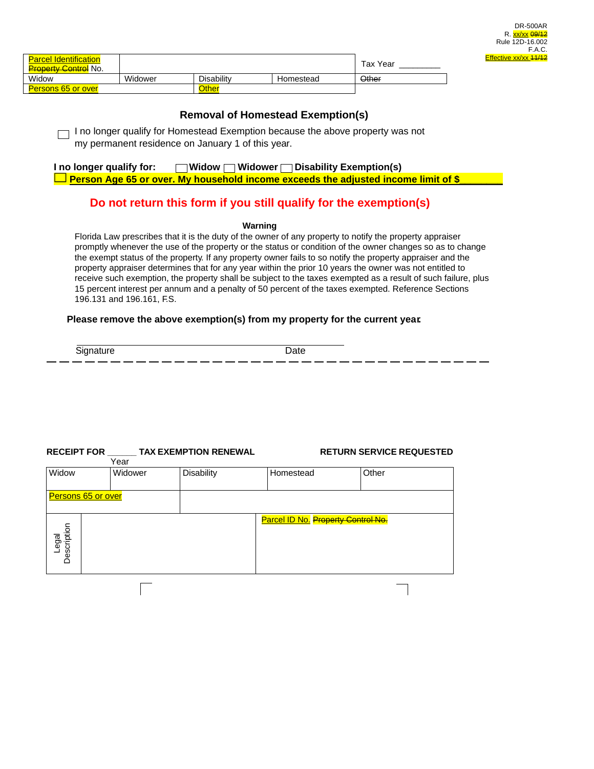| <b>I</b> Identification<br>Parcel<br><b>Property Control</b> No. |         |                   | Tax Year  | Effective xx/xx 44/42 |  |
|------------------------------------------------------------------|---------|-------------------|-----------|-----------------------|--|
| Widow                                                            | Widower | <b>Disability</b> | Homestead | Other                 |  |
| Persons 65 or over                                               |         | <b>Other</b>      |           |                       |  |

# **Removal of Homestead Exemption(s)**

 $\Box$  I no longer qualify for Homestead Exemption because the above property was not my permanent residence on January 1 of this year.

**I no longer qualify for: Widow Widower Disability Exemption(s) Person Age 65 or over. My household income exceeds the adjusted income limit of \$\_\_\_\_\_\_\_\_**  $\Box$ 

# **Do not return this form if you still qualify for the exemption(s)**

#### **Warning**

Florida Law prescribes that it is the duty of the owner of any property to notify the property appraiser promptly whenever the use of the property or the status or condition of the owner changes so as to change the exempt status of the property. If any property owner fails to so notify the property appraiser and the property appraiser determines that for any year within the prior 10 years the owner was not entitled to receive such exemption, the property shall be subject to the taxes exempted as a result of such failure, plus 15 percent interest per annum and a penalty of 50 percent of the taxes exempted. Reference Sections 196.131 and 196.161, F.S.

### **Please remove the above exemption(s) from my property for the current year.**

Signature Date

# **RECEIPT FOR \_\_\_\_\_\_ TAX EXEMPTION RENEWAL RETURN SERVICE REQUESTED**

| Year                 |  |         |                   |                                    |           |       |  |
|----------------------|--|---------|-------------------|------------------------------------|-----------|-------|--|
| Widow                |  | Widower | <b>Disability</b> |                                    | Homestead | Other |  |
| Persons 65 or over   |  |         |                   |                                    |           |       |  |
| Legal<br>Description |  |         |                   | Parcel ID No. Property Control No. |           |       |  |